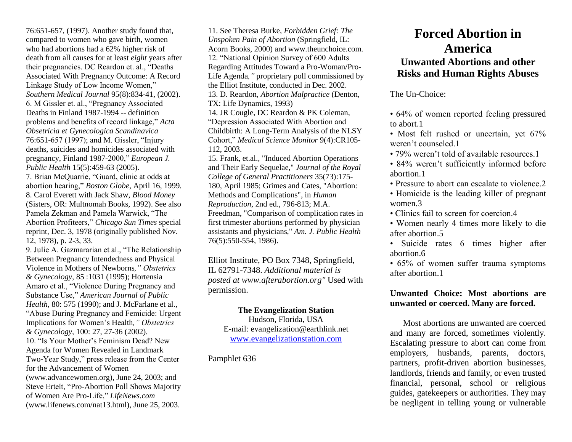76:651-657, (1997). Another study found that, compared to women who gave birth, women who had abortions had a 62% higher risk of death from all causes for at least *eight* years after their pregnancies. DC Reardon et. al., "Deaths Associated With Pregnancy Outcome: A Record Linkage Study of Low Income Women," *Southern Medical Journal* 95(8):834-41, (2002). 6. M Gissler et. al., "Pregnancy Associated Deaths in Finland 1987-1994 -- definition problems and benefits of record linkage," *Acta Obsetricia et Gynecologica Scandinavica*  76:651-657 (1997); and M. Gissler, "Injury deaths, suicides and homicides associated with pregnancy, Finland 1987-2000," *European J. Public Health* 15(5):459-63 (2005).

7. Brian McQuarrie, "Guard, clinic at odds at abortion hearing," *Boston Globe,* April 16, 1999*.* 8. Carol Everett with Jack Shaw, *Blood Money*  (Sisters, OR: Multnomah Books, 1992). See also Pamela Zekman and Pamela Warwick, "The Abortion Profiteers," *Chicago Sun Times* special reprint, Dec. 3, 1978 (originally published Nov. 12, 1978), p. 2-3, 33.

9. Julie A. Gazmararian et al., "The Relationship Between Pregnancy Intendedness and Physical Violence in Mothers of Newborns*," Obstetrics & Gynecology,* 85 :1031 (1995); Hortensia Amaro et al., "Violence During Pregnancy and Substance Use," *American Journal of Public Health,* 80: 575 (1990); and J. McFarlane et al., "Abuse During Pregnancy and Femicide: Urgent Implications for Women's Health*," Obstetrics & Gynecology,* 100: 27, 27-36 (2002). 10. "Is Your Mother's Feminism Dead? New Agenda for Women Revealed in Landmark Two-Year Study," press release from the Center for the Advancement of Women (www.advancewomen.org), June 24, 2003; and Steve Ertelt, "Pro-Abortion Poll Shows Majority of Women Are Pro-Life," *LifeNews.com*  (www.lifenews.com/nat13.html), June 25, 2003.

11. See Theresa Burke, *Forbidden Grief: The Unspoken Pain of Abortion* (Springfield, IL: Acorn Books, 2000) and www.theunchoice.com. 12. "National Opinion Survey of 600 Adults Regarding Attitudes Toward a Pro-Woman/Pro-Life Agenda*,"* proprietary poll commissioned by the Elliot Institute, conducted in Dec. 2002. 13. D. Reardon, *Abortion Malpractice* (Denton, TX: Life Dynamics, 1993) 14. JR Cougle, DC Reardon & PK Coleman, "Depression Associated With Abortion and Childbirth: A Long-Term Analysis of the NLSY Cohort," *Medical Science Monitor* 9(4):CR105-

112, 2003. 15. Frank, et.al., "Induced Abortion Operations

and Their Early Sequelae," *Journal of the Royal College of General Practitioners* 35(73):175- 180, April 1985; Grimes and Cates, "Abortion: Methods and Complications", in *Human Reproduction*, 2nd ed., 796-813; M.A. Freedman, "Comparison of complication rates in first trimester abortions performed by physician assistants and physicians," *Am. J. Public Health* 76(5):550-554, 1986).

Elliot Institute, PO Box 7348, Springfield, IL 62791-7348. *Additional material is posted at [www.afterabortion.org"](http://www.afterabortion.org/)* Used with permission.

## **The Evangelization Station**

Hudson, Florida, USA E-mail: evangelization@earthlink.net [www.evangelizationstation.com](http://www.pjpiisoe.org/)

Pamphlet 636

# **Forced Abortion in America Unwanted Abortions and other Risks and Human Rights Abuses**

The Un-Choice:

- 64% of women reported feeling pressured to abort.1
- Most felt rushed or uncertain, yet 67% weren't counseled.1
- 79% weren't told of available resources. 1
- 84% weren't sufficiently informed before abortion.1
- Pressure to abort can escalate to violence.2
- Homicide is the leading killer of pregnant women.3
- Clinics fail to screen for coercion.4
- Women nearly 4 times more likely to die after abortion.5
- Suicide rates 6 times higher after abortion.6
- 65% of women suffer trauma symptoms after abortion.1

### **Unwanted Choice: Most abortions are unwanted or coerced. Many are forced.**

Most abortions are unwanted are coerced and many are forced, sometimes violently. Escalating pressure to abort can come from employers, husbands, parents, doctors, partners, profit-driven abortion businesses, landlords, friends and family, or even trusted financial, personal, school or religious guides, gatekeepers or authorities. They may be negligent in telling young or vulnerable